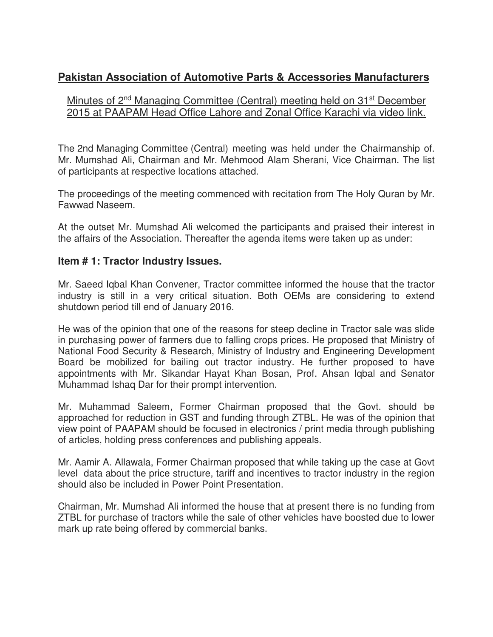# **Pakistan Association of Automotive Parts & Accessories Manufacturers**

## Minutes of 2<sup>nd</sup> Managing Committee (Central) meeting held on 31<sup>st</sup> December 2015 at PAAPAM Head Office Lahore and Zonal Office Karachi via video link.

The 2nd Managing Committee (Central) meeting was held under the Chairmanship of. Mr. Mumshad Ali, Chairman and Mr. Mehmood Alam Sherani, Vice Chairman. The list of participants at respective locations attached.

The proceedings of the meeting commenced with recitation from The Holy Quran by Mr. Fawwad Naseem.

At the outset Mr. Mumshad Ali welcomed the participants and praised their interest in the affairs of the Association. Thereafter the agenda items were taken up as under:

## **Item # 1: Tractor Industry Issues.**

Mr. Saeed Iqbal Khan Convener, Tractor committee informed the house that the tractor industry is still in a very critical situation. Both OEMs are considering to extend shutdown period till end of January 2016.

He was of the opinion that one of the reasons for steep decline in Tractor sale was slide in purchasing power of farmers due to falling crops prices. He proposed that Ministry of National Food Security & Research, Ministry of Industry and Engineering Development Board be mobilized for bailing out tractor industry. He further proposed to have appointments with Mr. Sikandar Hayat Khan Bosan, Prof. Ahsan Iqbal and Senator Muhammad Ishaq Dar for their prompt intervention.

Mr. Muhammad Saleem, Former Chairman proposed that the Govt. should be approached for reduction in GST and funding through ZTBL. He was of the opinion that view point of PAAPAM should be focused in electronics / print media through publishing of articles, holding press conferences and publishing appeals.

Mr. Aamir A. Allawala, Former Chairman proposed that while taking up the case at Govt level data about the price structure, tariff and incentives to tractor industry in the region should also be included in Power Point Presentation.

Chairman, Mr. Mumshad Ali informed the house that at present there is no funding from ZTBL for purchase of tractors while the sale of other vehicles have boosted due to lower mark up rate being offered by commercial banks.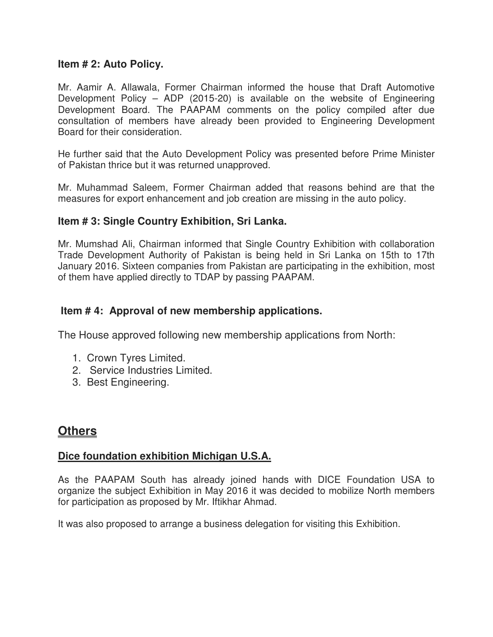#### **Item # 2: Auto Policy.**

Mr. Aamir A. Allawala, Former Chairman informed the house that Draft Automotive Development Policy – ADP (2015-20) is available on the website of Engineering Development Board. The PAAPAM comments on the policy compiled after due consultation of members have already been provided to Engineering Development Board for their consideration.

He further said that the Auto Development Policy was presented before Prime Minister of Pakistan thrice but it was returned unapproved.

Mr. Muhammad Saleem, Former Chairman added that reasons behind are that the measures for export enhancement and job creation are missing in the auto policy.

#### **Item # 3: Single Country Exhibition, Sri Lanka.**

Mr. Mumshad Ali, Chairman informed that Single Country Exhibition with collaboration Trade Development Authority of Pakistan is being held in Sri Lanka on 15th to 17th January 2016. Sixteen companies from Pakistan are participating in the exhibition, most of them have applied directly to TDAP by passing PAAPAM.

## **Item # 4: Approval of new membership applications.**

The House approved following new membership applications from North:

- 1. Crown Tyres Limited.
- 2. Service Industries Limited.
- 3. Best Engineering.

# **Others**

#### **Dice foundation exhibition Michigan U.S.A.**

As the PAAPAM South has already joined hands with DICE Foundation USA to organize the subject Exhibition in May 2016 it was decided to mobilize North members for participation as proposed by Mr. Iftikhar Ahmad.

It was also proposed to arrange a business delegation for visiting this Exhibition.